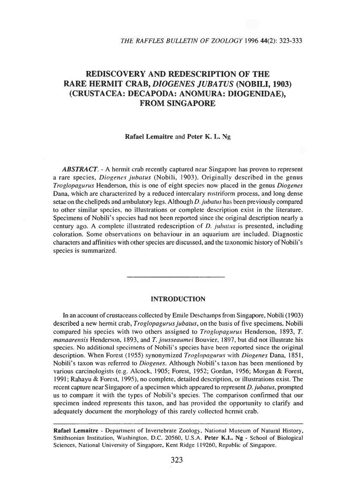# **REDISCOVERY AND REDESCRIPTION OF THE RARE HERMIT CRAB,** *DIOGENES JUBATUS* **(NOBILI, 1903) (CRUSTACEA: DECAPODA: ANOMURA: DIOGENIDAE), FROM SINGAPORE**

#### **Rafael Lemaitre** and **Peter K.** L. Ng

*ABSTRACT. -* A hermit crab recently captured near Singapore has proven to represent a rare species, *Diogenes jiihatus* (Nobili, 1903). Originally described in the genus *Troglopagurus* Henderson, this is one of eight species now placed in the genus *Diogenes* Dana, which are characterized by a reduced intercalary roslriform process, and long dense setae on the chelipeds and ambulatory legs. Although *D.jubatus* has been previously compared to other similar species, no illustrations or complete description exist in the literature. Specimens of Nobili's species had not been reported since the original description nearly a century ago. A complete illustrated redescription of *D. juhatus* is presented, including coloration. Some observations on behaviour in an aquarium are included. Diagnostic characters and affinities with other species are discussed, and the taxonomic history of Nobili's species is summarized.

## **INTRODUCTION**

**In** an account of crustaceans collected by Emile Deschamps from Singapore, Nobili (1903) described a new hermit crab, *Troglopagurusjubatus,* on the basis of five specimens, Nobili compared his species with two others assigned to *Troglopagurus* Henderson, 1893, *T. manaarensis* Henderson, 1893, and *T. jousseaumei* Bouvier, 1897, but did not illustrate his species. No additional specimens of Nobili's species have been reported since the original description. When Forest (1955) synonymized *Troglopagurus* with *Diogenes* Dana, 1851, Nobili's taxon was referred to *Diogenes.* Although Nobili's taxon has been mentioned by various carcinologists (e.g. Alcock, 1905; Forest, 1952; Gordan, 1956; Morgan & Forest, 1991; Rahayu & Forest, 1995), no complete, detailed description, or illustrations exist. The recent capture near Singapore of a specimen which appeared to represent *D.jubatus,* prompted us to compare it with the types of Nobili's species. The comparison confirmed that our specimen indeed represents this taxon, and has provided the opportunity to clarify and adequately document the morphology of this rarely collected hermit crab.

Rafael Lemaitre - Department of Invertebrate Zoology, National Museum of Natural History, Smithsonian Institution, Washington, D.C. 20560, U.S.A. Peter K.L. Ng - School of Biological Sciences, National University of Singapore, Kent Ridge 119260, Republic of Singapore.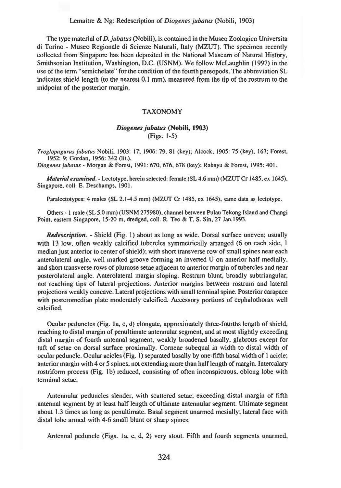#### Lemaitre & Ng: Redescription of *Diogenes jubatus* (Nobili, 1903)

The type material of *D. jubatus* (Nobili), is contained in the Museo Zoologico Universita di Torino - Museo Regionale di Scienze Naturali, Italy (MZUT). The specimen recently collected from Singapore has been deposited in the National Museum of Natural History, Smithsonian Institution, Washington, D.C. (USNM). We follow McLaughlin (1997) in the use of the term "semichelate" for the condition of the fourth pereopods. The abbreviation SL indicates shield length (to the nearest 0.1 mm), measured from the tip of the rostrum to the midpoint of the posterior margin.

#### **TAXONOMY**

## *Diogenesjubatus* **(Nobili, 1903)** (Figs. 1-5)

*Troglopagurus jubatus* Nobili, 1903: 17; 1906: 79, 81 (key); Alcock, 1905: 75 (key). 167; Forest, 1952: 9; Gordan, 1956: 342 (lit.).

*Diogenesjubatus -* Morgan *&* Forest, 1991: 670, 676, 678 (key); Rahayu & Forest, 1995: 401.

*Material examined. -* Lectotype, herein selected: female (SL 4.6 mm) (MZUT Cr 1485, ex 1645), Singapore, coll. E. Deschamps, 1901.

Paralectotypes: 4 males (SL 2.1-4.5 mm) (MZUT Cr 1485, ex 1645), same data as lectotype.

Others -1 male (SL 5.0 mm) (USNM 275980), channel between Pulau Tekong Island and Changi Point, eastern Singapore, 15-20 m, dredged, coll. R. Teo & T. S. Sin, 27 Jan.1993.

*Redescription. -* Shield (Fig. 1) about as long as wide. Dorsal surface uneven; usually with 13 low, often weakly calcified tubercles symmetrically arranged (6 on each side, 1) median just anterior to center of shield); with short transverse row of small spines near each anterolateral angle, well marked groove forming an inverted U on anterior half medially, and short transverse rows of plumose setae adjacent to anterior margin of tubercles and near posterolateral angle. Anterolateral margin sloping. Rostrum blunt, broadly subtriangular, not reaching tips of lateral projections. Anterior margins between rostrum and lateral projections weakly concave. Lateral projections with small terminal spine. Posterior carapace with posteromedian plate moderately calcified. Accessory portions of cephalothorax well calcified.

Ocular peduncles (Fig. <sup>I</sup> a, c, d) elongate, approximately three-fourths length of shield, reaching to distal margin of penultimate antennular segment, and at most slightly exceeding distal margin of fourth antennal segment; weakly broadened basally, glabrous except for tuft of setae on dorsal surface proximally. Comeae subequal in width to distal width of ocular peduncle. Ocular acicles (Fig. 1) separated basally by one-fifth basal width of <sup>I</sup> acicle; anterior margin with 4 or 5 spines, not extending more than halflength of margin. Intercalary rostriform process (Fig. lb) reduced, consisting of often inconspicuous, oblong lobe with terminal setae.

Antennular peduncles slender, with scattered setae; exceeding distal margin of fifth antennal segment by at least half length of ultimate antennular segment. Ultimate segment about 1.3 times as long as penultimate. Basal segment unarmed mesially; lateral face with distal lobe armed with 4-6 small blunt or sharp spines.

Antenna] peduncle (Figs, la, c, d, 2) very stout. Fifth and fourth segments unarmed,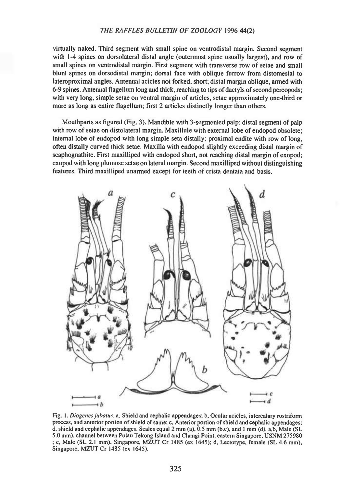**virtually naked. Third segment with small spine on ventrodistal margin. Second segment with 1-4 spines on dorsolateral distal angle (outermost spine usually largest), and row of small spines on ventrodistal margin. First segment with transverse row of setae and small blunt spines on dorsodistal margin; dorsal face with oblique furrow from distomesial to lateroproximal angles. Antennal acicles not forked, short; distal margin oblique, armed with 6-9 spines. Antennal flagellum long and thick, reaching to tips of dactyls ofsecond pereopods; with very long, simple setae on ventral margin of articles, .setae approximately one-third or more as long as entire flagellum; First 2 articles distinctly longer than others.**

**Mouthparts as figured (Fig. 3). Mandible with 3-segmented palp; distal segment of palp with row of setae on distolateral margin. Maxillule with external lobe of endopod obsolete; internal lobe of endopod with long simple seta distally; proximal endite with row of long, often distally curved thick setae. Maxilla with endopod slightly exceeding distal margin of scaphognathite. First maxilliped with endopod short, not reaching distal margin of exopod; exopod with long plumose setae on lateral margin. Second maxilliped without distinguishing features. Third maxilliped unarmed except for teeth of crista dentata and basis.**



**Fig. I.** *Diogenesjubaws.* **a. Shield and cephalic appendages; b. Ocular acicles, intercalary rostriform process, and anterior portion ofshield ofsame; c. Anterior portion of shield and cephalic appendages;** d, shield and cephalic appendages. Scales equal 2 mm (a), 0.5 mm (b,c), and 1 mm (d). a,b, Male (SL **S.O mm), channel between Pulau Tekong Island and Changi Point, eastern Singapore, USNM 275980 ; c, Male (SL 2.1 mm), Singapore, MZUT Cr 1485 (ex 1645); d, Lectotype, female (SL 4.6 mm), Singapore, MZUT Cr 1485 (ex 1645).**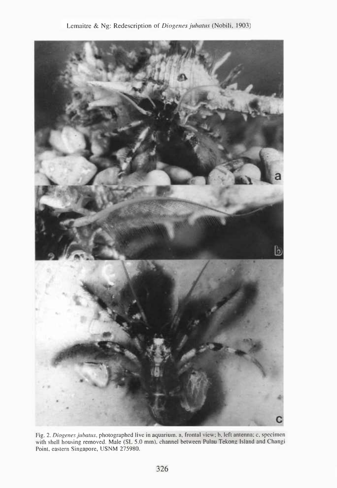

Fig. 2. *Diogenes jubatus*, photographed live in aquarium, a, frontal view; b, left antenna; c, specimen with shell housing removed. Male (SL 5.0 mm), channel between **Pulau Tekong Island** and Changi Point, eastern Singapore, USNM 275980.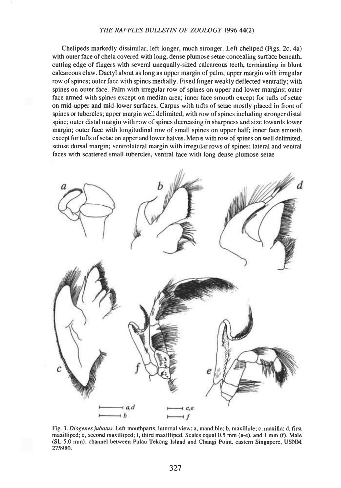Chelipeds markedly dissimilar, left longer, much stronger. Left cheliped (Figs. 2c, 4a) with outer face of chela covered with long, dense plumose setae concealing surface beneath; cutting edge of fmgers with several unequally-sized calcareous teeth, terminating in blunt calcareous claw. Dactyl about as long as upper margin of palm; upper margin with irregular row ofspines; outer face with spines medially. Fixed finger weakly deflected ventrally; with spines on outer face. Palm with irregular row of spines on upper and lower margins; outer face armed with spines except on median area; inner face smooth except for tufts of setae on mid-upper and mid-lower surfaces. Carpus with tufts of setae mostly placed in front of spines or tubercles; upper margin well delimited, with row ofspines including stronger distal spine; outer distal margin with row of spines decreasing in sharpness and size towards lower margin; outer face with longitudinal row of small spines on upper half; inner face smooth except for tufts of setae on upper and lower halves. Merus with row of spines on well delimited, setose dorsal margin; ventrolateral margin with irregular rows of spines; lateral and ventral faces with scattered small tubercles, ventral face with long dense plumose setae



**Fig. 3.** *Diogenesjubatus.* **Left mouthparts, internal view: a, mandible; b, maKillule; c, maxilla; d, first maxilliped; e, second maxilliped; f, third maxilliped. Scales equal 0.5 mm (a-e), and <sup>1</sup> mm (f). Male (SL 5.0 mm), channel between Pulau Tekong Island and Changi Point, eastern Singapore, USNM 275980.**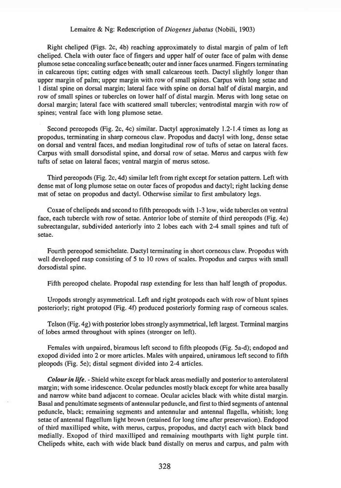#### Lemaitre & Ng: Redescription of *Diogenes jubatus* (Nobili, 1903)

Right cheliped (Figs. 2c, 4b) reaching approximately to distal margin of palm of left cheliped. Chela with outer face of fmgers and upper half of outer face of palm with dense plumose setae concealing surface beneath; outer and inner faces unarmed. Fingers terminating in calcareous tips; cutting edges with small calcareous teeth. Dactyl slightly longer than upper margin of palm; upper margin with row of small spines. Carpus with long setae and <sup>1</sup> distal spine on dorsal margin; lateral face with spine on dorsal half of distal margin, and row of small spines or tubercles on lower half of distal margin. Merus with long setae on dorsal margin; lateral face with scattered small tubercles; ventrodistal margin with row of spines; ventral face with long plumose setae.

Second pereopods (Fig. 2c, 4c) similar. Dactyl approximately 1.2-1.4 times as long as propodus, terminating in sharp corneous claw. Propodus and dactyl with long, dense setae on dorsal and ventral faces, and median longitudinal row of tufts of setae on lateral faces. Carpus with small dorsodistal spine, and dorsal row of setae. Merus and carpus with few tufts of setae on lateral faces; ventral margin of merus setose.

Third pereopods (Fig. 2c, 4d) similar left from right except for setation pattern. Left with dense mat of long plumose setae on outer faces of propodus and dactyl; right lacking dense mat of setae on propodus and dactyl. Otherwise similar to first ambulatory legs.

Coxae of chelipeds and second to fifth pereopods with 1-3 low, wide tubercles on ventral face, each tubercle with row of setae. Anterior lobe of stemite of third pereopods (Fig. 4e) subrectangular, subdivided anteriorly into 2 lobes each with 2-4 small spines and tuft of setae.

Fourth pereopod semichelate. Dactyl terminating in short corneous claw. Propodus with well developed rasp consisting of 5 to 10 rows of scales. Propodus and carpus with small dorsodistal spine.

Fifth pereopod chelate. Propodal rasp extending for less than half length of propodus.

Uropods strongly asymmetrical. Left and right protopods each with row of blunt spines posteriorly; right protopod (Fig. 4f) produced posteriorly forming rasp of corneous scales.

Telson (Fig. 4g) with posterior lobes strongly asymmetrical, left largest. Terminal margins of lobes armed throughout with spines (stronger on left).

Females with unpaired, biramous left second to fifth pleopods (Fig. 5a-d); endopod and exopod divided into 2 or more articles. Males with unpaired, uniramous left second to fifth pleopods (Fig. 5e); distal segment divided into 2-4 articles.

*Colourin life. -* Shield white except for black areas medially and posterior to anterolateral margin; with some iridescence. Ocular peduncles mostly black except for white area basally and narrow white band adjacent to comeae. Ocular acicles black with white distal margin. Basal and penultimate segments of antennular peduncle, and first to third segments of antennal peduncle, black; remaining segments and antennular and antennal flagella, whitish; long setae of antennal flagellum light brown (retained for long time after preservation). Endopod of third maxilliped white, with merus, carpus, propodus, and dactyl each with black band medially. Exopod of third maxilliped and remaining mouthparts with light purple tint. Chelipeds white, each with wide black band distally on merus and carpus, and palm with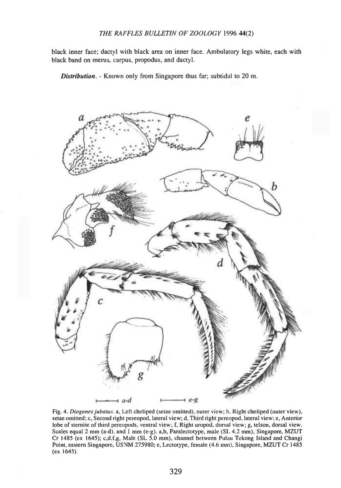black inner face; dactyl with black area on inner face. Ambulatory legs white, each with black band on merus, carpus, propodus, and dactyl.

*Distribution. -* Known only from Singapore thus far; subtidal to 20 m.



**Fig. 4.** *Diogenesjubatus.* **a. Left cheliped (setae omitted), outer view; b. Right cheliped (outer view), setae omitted; c. Second right pereopod, lateral view; d. Third right pereopod, lateral view; e. Anterior lobe of stemite of third pereopods, ventral view; f, Right uropod, dorsal view; g, telson, dorsal view. Scales equal 2 mm (a-d), and <sup>1</sup> mm (e-g). a,b, Paralectotyfje, male (SI. 4.2 mm), Singapore, MZUT Cr 1485 (ex 1645); c,d.f,g, Male (SL 5.0 mm), channel between Pulau Tckong Island and Changi Point, eastern Singapore, USNM 275980; e, Lectotype, female (4.6 mm), Singapore, MZUT Cr 1485 (ex 1645).**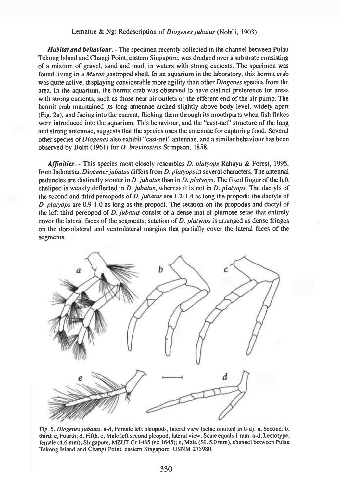## Lemaitre & Ng: Redescription *of Diogenesjubatus* (Nobili, 1903)

*Habitat and behaviour. -* The specimen recently collected in the channel between Pulau Tekong Island and Changi Point, eastern Singapore, was dredged over a substrate consisting of a mixture of gravel, sand and mud, in waters with strong currents. The specimen was found living in a *Murex* gastropod shell. In an aquarium in the laboratory, this hermit crab was quite active, displaying considerable more agility than other *Diogenes* species from the area. In the aquarium, the hermit crab was observed to have distinct preference for areas with strong currents, such as those near air outlets or the efferent end of the air pump. The hermit crab maintained its long antennae arched slightly above body level, widely apart (Fig. 2a), and facing into the current, flicking them through its mouthparts when fish flakes were introduced into the aquarium. This behaviour, and the "cast-net" structure of the long and strong antennae, suggests that the species uses the antennae for capturing food. Several other species *of Diogenes* also exhibit "cast-net" antennae, and a similar behaviour has been observed by Boltt (1961) for *D. brevirostris* Stimpson, 1858.

*Affinities. -* This species most closely resembles *D. platyops* Rahayu & Forest, 1995, from Indonesia. *Diogenesjubatus* differs from *D. platyops* in several characters. The antennal peduncles are distinctly stouter in *D. jubatus* than in *D. platyops.* The fixed finger of the left cheliped is weakly deflected in *D. jubatus,* whereas it is not in *D. platyops.* The dactyls of the second and third pereopods of *D. jubatus* are 1.2-1.4 as long the propodi; the dactyls of *D. platyops* are 0.9-1.0 as long as the propodi. The setation on the propodus and dactyl of the left third pereopod of *D. jubatus* consist of a dense mat of plumose setae that entirely cover the lateral faces of the segments; setation of D. *platyops* is arranged as dense fringes on the dorsolateral and ventrolateral margins that partially cover the lateral faces of the segments.



Fig. 5. *Diogenesjubatus.* a-d. Female left pleopods. lateral view (seiae omitted in b-d): a. Second: b, third; c. Fourth; d. Fifth, e. Male left second pleopod, lateral view. Scale equals <sup>I</sup> mm. a-d, Lectotype, female (4.6 mm), Singapore, MZUT Cr 1485 (ex 1645); e, Male (SL 5.0 mm), channel between Pulau Tekong Island and Changi Point, eastern Singapore, USNM 275980.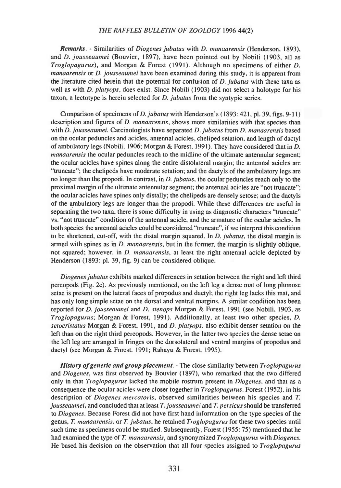*Remarks. -* Similarities *ot Diogenes jubatus* with *D. manaarensis* (Henderson, 1893), and *D. jousseaumei* (Bouvier, 1897), have been pointed out by Nobili (1903, all as *Troglopagurus),* and Morgan & Forest (1991). Although no specimens of either *D. manaarensis* or *D. jousseaumei* have been examined during this study, it is apparent from the literature cited herein that the potential for confusion of *D. jubatus* with these taxa as well as with *D. platyops,* does exist. Since Nobili (1903) did not select a holotype for his taxon, a lectotype is herein selected for *D. jubatus* from the syntypic series.

Comparison of specimens of *D. jubatus* with Henderson's (1893: 421, pl. 39, figs. 9-11) description and figures of *D. manaarensis,* shows more similarities with that species than with *D. jousseaumei.* Carcinologists have separated *D. jubatus* from *D. manaarensis* based on the ocular peduncles and acicles, antennal acicles, cheliped setation, and length of dactyl of ambulatory legs (Nobili, 1906; Morgan & Forest, 1991). They have considered that in Z>. *manaarensis* the ocular peduncles reach to the midline of the ultimate antennular segment; the ocular acicles have spines along the entire distolateral margin; the antennal acicles are "truncate"; the chelipeds have moderate setation; and ihe dactyls of the ambulatory legs are no longer than the propodi. In contrast, in *D. jubatus,* the ocular peduncles reach only to the proximal margin of the ultimate antennular segment; the antennal acicles are "not truncate"; the ocular acicles have spines only distally; the chelipeds are densely setose; and the dactyls of the ambulatory legs are longer than the propodi. While these differences are useful in separating the two taxa, there is some difficulty in using as diagnostic characters "truncate" vs. "not truncate" condition of the antennal acicle, and the armature of the ocular acicles. In both species the antennal acicles could be considered "truncate", if we interpret this condition to be shortened, cut-off, with the distal margin squared. In D. *jubatus,* the distal margin is armed with spines as in *D. manaarensis,* but in the former, the margin is slightly oblique, not squared; however, in *D. manaarensis,* at least the right antennal acicle depicted by Henderson (1893: pi. 39, fig. 9) can be considered oblique.

*Diogenesjubatus* exhibits marked differences in setation between the right and left third pereopods (Fig. 2c). As previously mentioned, on the left leg a dense mat of long plumose setae is present on the lateral faces of propodus and dactyl; the right leg lacks this mat, and has only long simple setae on the dorsal and ventral margins. A similar condition has been reported for *D. jousseaumei* and *D. stenops* Morgan & Forest, 1991 (see Nobili, 1903, as *Troglopagurus;* Morgan & Forest, 1991). Additionally, at least two other species, *D. setocristatus* Morgan & Forest, 1991, and *D. platyops,* also exhibit denser setation on the left than on the right third pereopods. However, in the latter two species the dense setae on the left leg are arranged in fringes on the dorsolateral and ventral margins of propodus and dactyl (see Morgan & Forest, 1991; Rahayu & Foresi, 1995).

*History ofgeneric and group placement. -* The close similarity between *Troglopagurus* and *Diogenes,* was first observed by Bouvier (1897), who remarked that the two differed only in that *Troglopagurus* lacked the mobile rostrum present in *Diogenes,* and that as a consequence the ocular acicles were closer together in *Troglopagurus.* Forest (1952), in his description of *Diogenes mercatoris,* observed similarities between his species and *T. jousseaumei,* and concluded that at least *T. jousseaumei* and *T. persicus* should be transferred to *Diogenes.* Because Forest did not have first hand information on the type species of the genus, *T. manaarensis,* or *T. jubatus,* he retained *Troglopagurus* for these two species until such time as specimens could be studied. Subsequently, Forest (1955: 75) mentioned that he had examined the type of *T. manaarensis,* and synonymized *Troglopagurus* with *Diogenes.* He based his decision on the observation that all four species assigned to *Troglopagurus*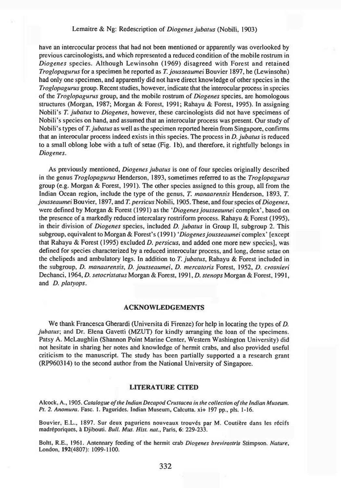# Lemaitre & Ng: Redescription of *Diogenesjubatus* (Nobili, 1903)

have an intercocular process that had not been mentioned or apparently was overlooked by previous carcinologists, and which represented a reduced condition of the mobile rostrum in *Diogenes* species. Although Lewinsohn (1969) disagreed with Forest and retained *Troglopagurus* for a specimen he reported as *T. jousseaumei* Bouvier 1897, he (Lewinsohn) had only one specimen, and apparently did not have direct knowledge of other species in the *Troglopagurus* group. Recent studies, however, indicate that the interocular process in species of the *Troglopagurus* group, and the mobile rostrum of *Diogenes* species, are homologous structures (Morgan, 1987; Morgan & Forest, 1991; Rahayu & Forest, 1995). In assigning Nobili's *T. jubatus* to *Diogenes,* however, these carcinologists did not have specimens of Nobili's species on hand, and assumed that an interocular process was present. Our study of Nobili's types of *T. jubatus* as well as the specimen reported herein from Singapore, confirms that an interocular process indeed exists in this species. The process in *D. jubatus* is reduced to a small oblong lobe with a tuft of setae (Fig. lb), and therefore, it rightfully belongs in *Diogenes.*

As previously mentioned, *Diogenes jubatus* is one of four species originally described in the genus *Troglopagurus* Henderson, 1893, sometimes referred to as the *Troglopagurus* group (e.g. Morgan & Forest, 1991). The other species assigned to this group, all from the Indian Ocean region, include the type of the genus, *T. manaarensis* Henderson, 1893, *T. jousseaumei* Bouvier, 1897, and *T. persicus* Nobili, 1905. These, and four species of *Diogenes*, were defined by Morgan & Forest (1991) as the *'Diogenes jousseaumei* complex', based on the presence of a markedly reduced intercalary rostriform process. Rahayu & Forest (1995), in their division of *Diogenes* species, included D. *jubatus* in Group II, subgroup 2. This subgroup, equivalent to Morgan & Forest's (1991) *'Diogenes jousseaumei* complex' [except] that Rahayu & Forest (1995) excluded *D. persicus,* and added one more new species], was defmed for species characterized by a reduced interocular process, and long, dense setae on the chelipeds and ambulatory legs. In addition to *T. jubatus,* Rahayu & Forest included in the subgroup, *D. manaarensis, D. jousseaumei, D. mercatoris* Forest, 1952, *D. crosnieri* Dechanci, 1964, *D. setocristatus* Morgan & Forest, 1991, D. *stenops* Morgan & Forest, 1991, and *D. platyops.*

#### ACKNOWLEDGEMENTS

We thank Francesca Gherardi (Universita di Firenze) for help in locating the types of *D. jubatus*; and Dr. Elena Gavetti (MZUT) for kindly arranging the loan of the specimens. Patsy A. McLaughlin (Shannon Point Marine Center, Western Washington University) did not hesitate in sharing her notes and knowledge of hermit crabs, and also provided useful criticism to the manuscript. The study has been partially supported a a research grant (RP960314) to the second author from the National University of Singapore.

#### LITERATURE CITED

Alcock, A., 1905. *Catalogue ofthe Indian Decapod Crustacea in the collection ofthe Indian Museum. Pt. 2. Anomura.* Fasc. 1. Pagurides. Indian Museum, Calcutta. xi+ 197 pp., pis. 1-16.

Bouvier, E.L., 1897. Sur deux paguriens nouveaux trouvés par M. Coutière dans les récifs madréporiques, à Djibouti. *Bull. Mus. Hist. nat.*, Paris, 6: 229-233.

Boitt, R.E., 1961. Antennary feeding of the hermit crab *Diogenes brevirostris* Stimpson. *Nature,* London, 192(4807): 1099-1100.